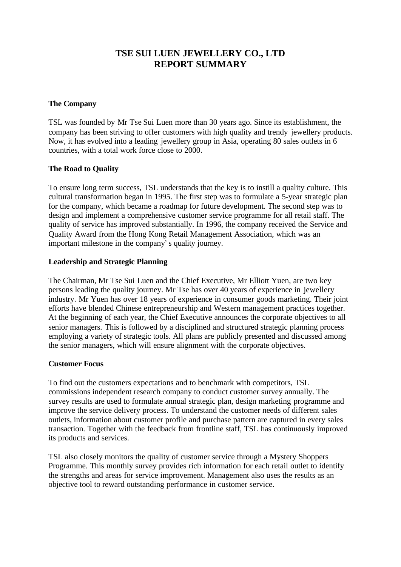# **TSE SUI LUEN JEWELLERY CO., LTD REPORT SUMMARY**

#### **The Company**

TSL was founded by Mr Tse Sui Luen more than 30 years ago. Since its establishment, the company has been striving to offer customers with high quality and trendy jewellery products. Now, it has evolved into a leading jewellery group in Asia, operating 80 sales outlets in 6 countries, with a total work force close to 2000.

## **The Road to Quality**

To ensure long term success, TSL understands that the key is to instill a quality culture. This cultural transformation began in 1995. The first step was to formulate a 5-year strategic plan for the company, which became a roadmap for future development. The second step was to design and implement a comprehensive customer service programme for all retail staff. The quality of service has improved substantially. In 1996, the company received the Service and Quality Award from the Hong Kong Retail Management Association, which was an important milestone in the company's quality journey.

#### **Leadership and Strategic Planning**

The Chairman, Mr Tse Sui Luen and the Chief Executive, Mr Elliott Yuen, are two key persons leading the quality journey. Mr Tse has over 40 years of experience in jewellery industry. Mr Yuen has over 18 years of experience in consumer goods marketing. Their joint efforts have blended Chinese entrepreneurship and Western management practices together. At the beginning of each year, the Chief Executive announces the corporate objectives to all senior managers. This is followed by a disciplined and structured strategic planning process employing a variety of strategic tools. All plans are publicly presented and discussed among the senior managers, which will ensure alignment with the corporate objectives.

#### **Customer Focus**

To find out the customers expectations and to benchmark with competitors, TSL commissions independent research company to conduct customer survey annually. The survey results are used to formulate annual strategic plan, design marketing programme and improve the service delivery process. To understand the customer needs of different sales outlets, information about customer profile and purchase pattern are captured in every sales transaction. Together with the feedback from frontline staff, TSL has continuously improved its products and services.

TSL also closely monitors the quality of customer service through a Mystery Shoppers Programme. This monthly survey provides rich information for each retail outlet to identify the strengths and areas for service improvement. Management also uses the results as an objective tool to reward outstanding performance in customer service.